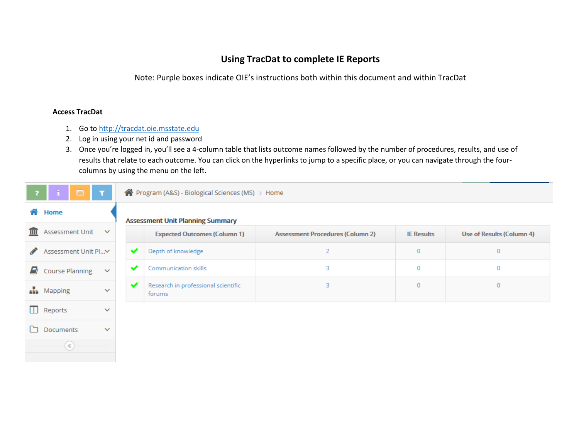## **Using TracDat to complete IE Reports**

Note: Purple boxes indicate OIE's instructions both within this document and within TracDat

#### **Access TracDat**

- 1. Go to [http://tracdat.oie.msstate.edu](http://tracdat.oie.msstate.edu/)
- 2. Log in using your net id and password
- 3. Once you're logged in, you'll see a 4-column table that lists outcome names followed by the number of procedures, results, and use of results that relate to each outcome. You can click on the hyperlinks to jump to a specific place, or you can navigate through the fourcolumns by using the menu on the left.

| 一部<br>$\mathbf{R}$<br>$\blacksquare$                 | Program (A&S) - Biological Sciences (MS) > Home |   |                                               |                                         |                   |                           |
|------------------------------------------------------|-------------------------------------------------|---|-----------------------------------------------|-----------------------------------------|-------------------|---------------------------|
| Home<br>☎<br><b>Assessment Unit Planning Summary</b> |                                                 |   |                                               |                                         |                   |                           |
| Assessment Unit<br>皿                                 | $\sim$                                          |   | <b>Expected Outcomes (Column 1)</b>           | <b>Assessment Procedures (Column 2)</b> | <b>IE Results</b> | Use of Results (Column 4) |
| Assessment Unit Pl                                   |                                                 | ✔ | Depth of knowledge                            | $\overline{2}$                          | $\mathbf 0$       | $\mathbf{0}$              |
| E)<br><b>Course Planning</b>                         | $\checkmark$                                    | ✔ | Communication skills                          | 3                                       | $\mathbf 0$       | 0                         |
| th Mapping                                           | $\checkmark$                                    | ✔ | Research in professional scientific<br>forums | 3                                       | $\mathbf 0$       | $\mathbf{0}$              |
| ◫<br>Reports                                         | $\checkmark$                                    |   |                                               |                                         |                   |                           |
| Documents<br>רו                                      | $\checkmark$                                    |   |                                               |                                         |                   |                           |
| $(\ll)$                                              |                                                 |   |                                               |                                         |                   |                           |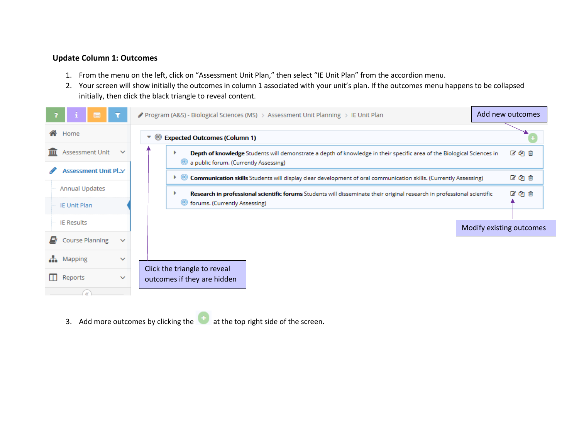## **Update Column 1: Outcomes**

- 1. From the menu on the left, click on "Assessment Unit Plan," then select "IE Unit Plan" from the accordion menu.
- 2. Your screen will show initially the outcomes in column 1 associated with your unit's plan. If the outcomes menu happens to be collapsed initially, then click the black triangle to reveal content.

| 目                                            | Program (A&S) - Biological Sciences (MS) > Assessment Unit Planning > IE Unit Plan                                                                              | Add new outcomes         |
|----------------------------------------------|-----------------------------------------------------------------------------------------------------------------------------------------------------------------|--------------------------|
| ∧<br>Home                                    | <b>Expected Outcomes (Column 1)</b><br>$\circledcirc$<br>▼                                                                                                      |                          |
| Assessment Unit<br>皿<br>$\checkmark$         | Depth of knowledge Students will demonstrate a depth of knowledge in their specific area of the Biological Sciences in<br>a public forum. (Currently Assessing) | ぴ钓白                      |
| <b>Assessment Unit Pl.y</b>                  | Communication skills Students will display clear development of oral communication skills. (Currently Assessing)<br>Þ.                                          | ぴ钓白                      |
| Annual Updates<br>IE Unit Plan               | Research in professional scientific forums Students will disseminate their original research in professional scientific<br>forums. (Currently Assessing)<br>O   | ぴ钓白                      |
| <b>IE Results</b>                            |                                                                                                                                                                 | Modify existing outcomes |
| <b>Course Planning</b><br>E1<br>$\checkmark$ |                                                                                                                                                                 |                          |
| Mapping<br>Æ.<br>$\checkmark$                |                                                                                                                                                                 |                          |
| Reports<br>$\checkmark$                      | Click the triangle to reveal<br>outcomes if they are hidden                                                                                                     |                          |

3. Add more outcomes by clicking the  $\overline{a}$  at the top right side of the screen.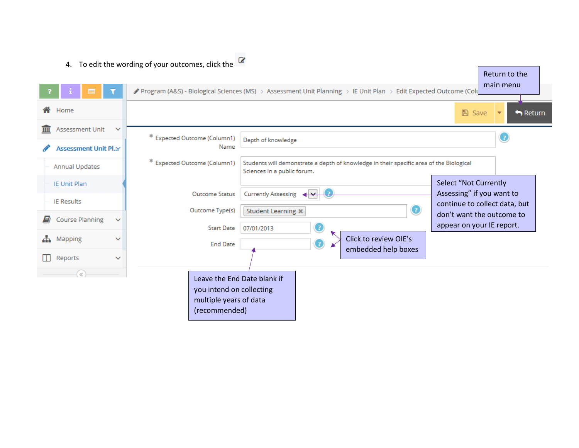# 4. To edit the wording of your outcomes, click the

| ч.<br>≡                                                                     | TO Edit the Wording Or your Outcomes, Click the                                                    | of Program (A&S) - Biological Sciences (MS) > Assessment Unit Planning > IE Unit Plan > Edit Expected Outcome (Colu    |                                              |                                                                                     | Return to the<br>main menu                    |
|-----------------------------------------------------------------------------|----------------------------------------------------------------------------------------------------|------------------------------------------------------------------------------------------------------------------------|----------------------------------------------|-------------------------------------------------------------------------------------|-----------------------------------------------|
| Home                                                                        |                                                                                                    |                                                                                                                        |                                              | <b>A</b> Save                                                                       | $\bigwedge$ Return<br>$\overline{\mathbf{v}}$ |
| <b>Assessment Unit</b><br>皿<br>$\checkmark$<br><b>Assessment Unit Pl.</b> Y | * Expected Outcome (Column1)<br>Name                                                               | Depth of knowledge                                                                                                     |                                              |                                                                                     |                                               |
| <b>Annual Updates</b>                                                       | *<br><b>Expected Outcome (Column1)</b>                                                             | Students will demonstrate a depth of knowledge in their specific area of the Biological<br>Sciences in a public forum. |                                              |                                                                                     |                                               |
| IE Unit Plan<br><b>IE Results</b>                                           | Outcome Status<br>Outcome Type(s)                                                                  | Currently Assessing <<br><b>Student Learning *</b>                                                                     | 3                                            | Select "Not Currently<br>Assessing" if you want to<br>continue to collect data, but |                                               |
| <b>Course Planning</b><br>F)<br>$\checkmark$                                | <b>Start Date</b>                                                                                  | C<br>07/01/2013                                                                                                        |                                              | don't want the outcome to<br>appear on your IE report.                              |                                               |
| Ж.<br>Mapping<br>$\checkmark$                                               | <b>End Date</b>                                                                                    | 3                                                                                                                      | Click to review OIE's<br>embedded help boxes |                                                                                     |                                               |
| m<br>Reports<br>$\checkmark$<br>u                                           | Leave the End Date blank if<br>you intend on collecting<br>multiple years of data<br>(recommended) |                                                                                                                        |                                              |                                                                                     |                                               |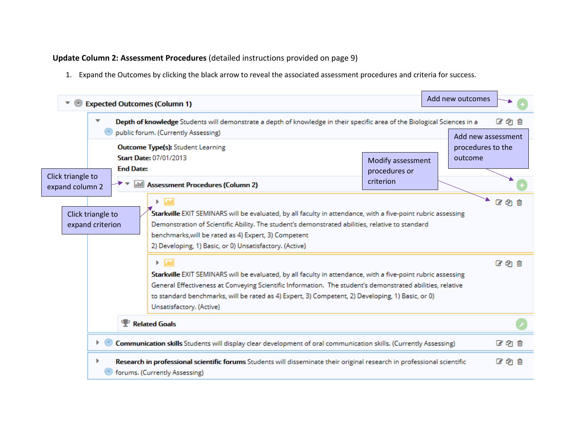#### **Update Column 2: Assessment Procedures** (detailed instructions provided on page 9)

1. Expand the Outcomes by clicking the black arrow to reveal the associated assessment procedures and criteria for success.

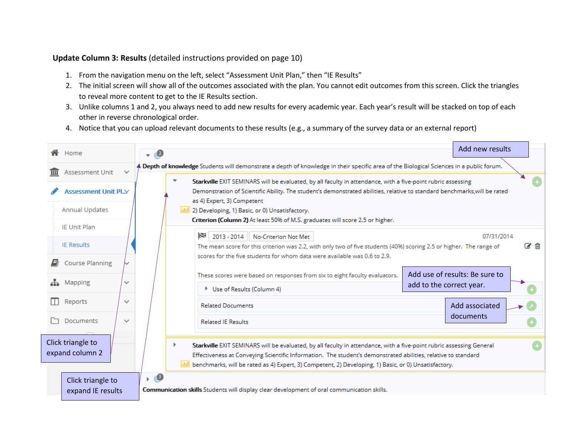## **Update Column 3: Results** (detailed instructions provided on page 10)

- 1. From the navigation menu on the left, select "Assessment Unit Plan," then "IE Results"
- 2. The initial screen will show all of the outcomes associated with the plan. You cannot edit outcomes from this screen. Click the triangles to reveal more content to get to the IE Results section.
- 3. Unlike columns 1 and 2, you always need to add new results for every academic year. Each year's result will be stacked on top of each other in reverse chronological order.
- 4. Notice that you can upload relevant documents to these results (e.g., a summary of the survey data or an external report)

|   | Home                                              | $\mathbb{C}^2$                                                                                                                                                                                                                                                                                                                                                                                                  | Add new results                |
|---|---------------------------------------------------|-----------------------------------------------------------------------------------------------------------------------------------------------------------------------------------------------------------------------------------------------------------------------------------------------------------------------------------------------------------------------------------------------------------------|--------------------------------|
| Ш | <b>Assessment Unit</b><br>$\checkmark$            | 4 Depth of knowledge Students will demonstrate a depth of knowledge in their specific area of the Biological Sciences in a public forum.                                                                                                                                                                                                                                                                        |                                |
|   | <b>Assessment Unit Pl.y</b><br>Annual Updates     | Starkville EXIT SEMINARS will be evaluated, by all faculty in attendance, with a five-point rubric assessing<br>Demonstration of Scientific Ability. The student's demonstrated abilities, relative to standard benchmarks,will be rated<br>as 4) Expert, 3) Competent<br>[ili] 2) Developing, 1) Basic, or 0) Unsatisfactory.<br>Criterion (Column 2) At least 50% of M.S. graduates will score 2.5 or higher. |                                |
|   | <b>IF Unit Plan</b><br><b>IE Results</b>          | 123<br>2013 - 2014<br>No-Criterion Not Met<br>The mean score for this criterion was 2.2, with only two of five students (40%) scoring 2.5 or higher. The range of                                                                                                                                                                                                                                               | 07/31/2014<br>☞ ⋒              |
| ÷ | <b>Course Planning</b><br>Mapping<br>$\checkmark$ | scores for the five students for whom data were available was 0.6 to 2.9.<br>These scores were based on responses from six to eight faculty evaluators.<br>add to the correct year.                                                                                                                                                                                                                             | Add use of results: Be sure to |
|   | Reports<br>$\checkmark$                           | Use of Results (Column 4)<br><b>Related Documents</b>                                                                                                                                                                                                                                                                                                                                                           | Add associated                 |
|   | <b>Documents</b><br>$\checkmark$                  | <b>Related IE Results</b>                                                                                                                                                                                                                                                                                                                                                                                       | documents                      |
|   | Click triangle to<br>expand column 2              | Starkville EXIT SEMINARS will be evaluated, by all faculty in attendance, with a five-point rubric assessing General<br>Effectiveness at Conveying Scientific Information. The student's demonstrated abilities, relative to standard<br>Lill benchmarks, will be rated as 4) Expert, 3) Competent, 2) Developing, 1) Basic, or 0) Unsatisfactory.                                                              |                                |
|   | Click triangle to<br>expand IE results            | $\rightarrow$ $\frac{3}{2}$<br>Communication skills Students will display clear development of oral communication skills.                                                                                                                                                                                                                                                                                       |                                |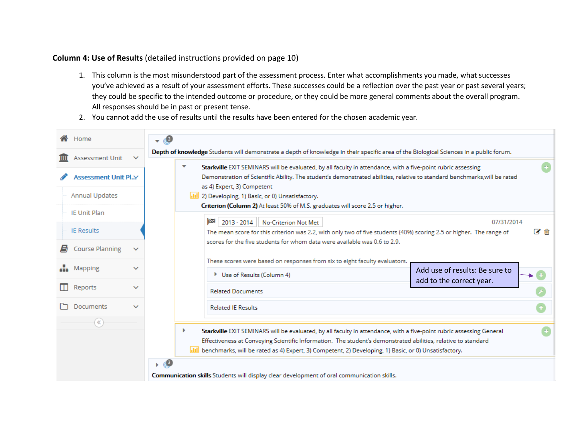#### **Column 4: Use of Results** (detailed instructions provided on page 10)

- 1. This column is the most misunderstood part of the assessment process. Enter what accomplishments you made, what successes you've achieved as a result of your assessment efforts. These successes could be a reflection over the past year or past several years; they could be specific to the intended outcome or procedure, or they could be more general comments about the overall program. All responses should be in past or present tense.
- 2. You cannot add the use of results until the results have been entered for the chosen academic year.

|   | Home                                                 | ۰ | $\mathbb{C}^2$                                                                                                                                                                                                                                                                                                                                                                                                                                   |
|---|------------------------------------------------------|---|--------------------------------------------------------------------------------------------------------------------------------------------------------------------------------------------------------------------------------------------------------------------------------------------------------------------------------------------------------------------------------------------------------------------------------------------------|
| 皿 | <b>Assessment Unit</b>                               |   | Depth of knowledge Students will demonstrate a depth of knowledge in their specific area of the Biological Sciences in a public forum.                                                                                                                                                                                                                                                                                                           |
|   | <b>Assessment Unit Pl.y</b><br><b>Annual Updates</b> |   | ▼<br>Starkville EXIT SEMINARS will be evaluated, by all faculty in attendance, with a five-point rubric assessing<br>Demonstration of Scientific Ability. The student's demonstrated abilities, relative to standard benchmarks,will be rated<br>as 4) Expert, 3) Competent<br>2) Developing, 1) Basic, or 0) Unsatisfactory.<br>Criterion (Column 2) At least 50% of M.S. graduates will score 2.5 or higher.                                   |
|   | IF Unit Plan                                         |   | pu<br>2013 - 2014<br>No-Criterion Not Met<br>07/31/2014                                                                                                                                                                                                                                                                                                                                                                                          |
|   | <b>IE Results</b>                                    |   | ぴ 面<br>The mean score for this criterion was 2.2, with only two of five students (40%) scoring 2.5 or higher. The range of                                                                                                                                                                                                                                                                                                                       |
|   | <b>Course Planning</b>                               |   | scores for the five students for whom data were available was 0.6 to 2.9.                                                                                                                                                                                                                                                                                                                                                                        |
|   | <b>A</b> Mapping                                     |   | These scores were based on responses from six to eight faculty evaluators.<br>Add use of results: Be sure to<br>Use of Results (Column 4)<br>add to the correct year.                                                                                                                                                                                                                                                                            |
|   | Reports                                              |   | <b>Related Documents</b>                                                                                                                                                                                                                                                                                                                                                                                                                         |
|   | <b>Documents</b>                                     |   | <b>Related IE Results</b>                                                                                                                                                                                                                                                                                                                                                                                                                        |
|   | (≪)                                                  |   | Starkville EXIT SEMINARS will be evaluated, by all faculty in attendance, with a five-point rubric assessing General<br>٠<br>Effectiveness at Conveying Scientific Information. The student's demonstrated abilities, relative to standard<br>benchmarks, will be rated as 4) Expert, 3) Competent, 2) Developing, 1) Basic, or 0) Unsatisfactory.<br>Communication skills Students will display clear development of oral communication skills. |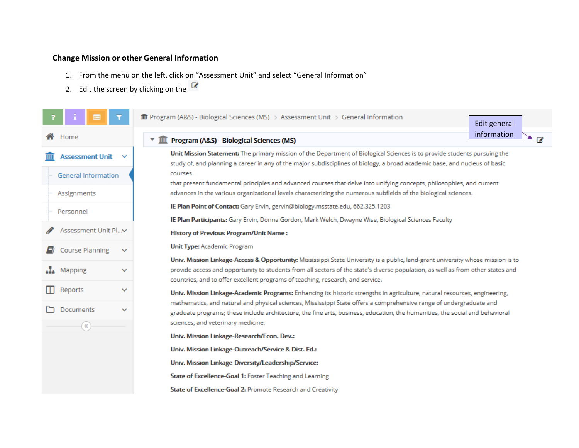## **Change Mission or other General Information**

- 1. From the menu on the left, click on "Assessment Unit" and select "General Information"
- 2. Edit the screen by clicking on the

| ▤                                                    | $\hat{m}$ Program (A&S) - Biological Sciences (MS) > Assessment Unit > General Information<br>Edit general                                                                                                                                                                                                                                           |
|------------------------------------------------------|------------------------------------------------------------------------------------------------------------------------------------------------------------------------------------------------------------------------------------------------------------------------------------------------------------------------------------------------------|
| Home                                                 | information<br>$\overline{a}$<br>Program (A&S) - Biological Sciences (MS)<br>Ш                                                                                                                                                                                                                                                                       |
| <b>Assessment Unit</b><br><b>General Information</b> | Unit Mission Statement: The primary mission of the Department of Biological Sciences is to provide students pursuing the<br>study of, and planning a career in any of the major subdisciplines of biology, a broad academic base, and nucleus of basic<br>courses                                                                                    |
| Assignments                                          | that present fundamental principles and advanced courses that delve into unifying concepts, philosophies, and current<br>advances in the various organizational levels characterizing the numerous subfields of the biological sciences.                                                                                                             |
| Personnel                                            | IE Plan Point of Contact: Gary Ervin, gervin@biology.msstate.edu, 662.325.1203<br>IE Plan Participants: Gary Ervin, Donna Gordon, Mark Welch, Dwayne Wise, Biological Sciences Faculty                                                                                                                                                               |
| Assessment Unit Pl                                   | <b>History of Previous Program/Unit Name:</b>                                                                                                                                                                                                                                                                                                        |
| <b>Course Planning</b><br>$\checkmark$               | <b>Unit Type:</b> Academic Program                                                                                                                                                                                                                                                                                                                   |
| Mapping<br>$\checkmark$                              | Univ. Mission Linkage-Access & Opportunity: Mississippi State University is a public, land-grant university whose mission is to<br>provide access and opportunity to students from all sectors of the state's diverse population, as well as from other states and<br>countries, and to offer excellent programs of teaching, research, and service. |
| Reports<br>$\checkmark$                              | Univ. Mission Linkage-Academic Programs: Enhancing its historic strengths in agriculture, natural resources, engineering,                                                                                                                                                                                                                            |
| <b>Documents</b><br>$\checkmark$                     | mathematics, and natural and physical sciences, Mississippi State offers a comprehensive range of undergraduate and<br>graduate programs; these include architecture, the fine arts, business, education, the humanities, the social and behavioral                                                                                                  |
| $(\ll)$                                              | sciences, and veterinary medicine.<br>Univ. Mission Linkage-Research/Econ. Dev.:                                                                                                                                                                                                                                                                     |
|                                                      | Univ. Mission Linkage-Outreach/Service & Dist. Ed.:                                                                                                                                                                                                                                                                                                  |
|                                                      | Univ. Mission Linkage-Diversity/Leadership/Service:                                                                                                                                                                                                                                                                                                  |
|                                                      | State of Excellence-Goal 1: Foster Teaching and Learning                                                                                                                                                                                                                                                                                             |
|                                                      | State of Excellence-Goal 2: Promote Research and Creativity                                                                                                                                                                                                                                                                                          |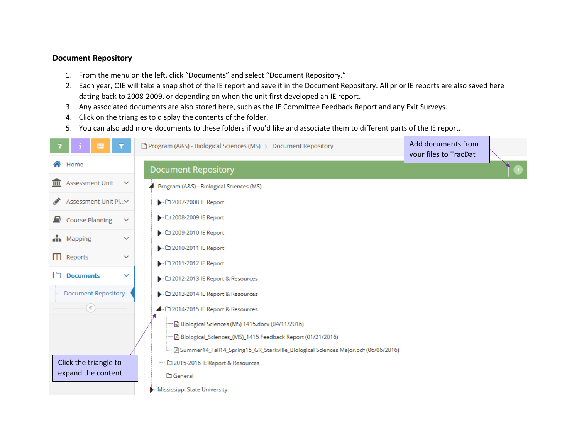#### **Document Repository**

- 1. From the menu on the left, click "Documents" and select "Document Repository."
- 2. Each year, OIE will take a snap shot of the IE report and save it in the Document Repository. All prior IE reports are also saved here dating back to 2008-2009, or depending on when the unit first developed an IE report.
- 3. Any associated documents are also stored here, such as the IE Committee Feedback Report and any Exit Surveys.
- 4. Click on the triangles to display the contents of the folder.
- 5. You can also add more documents to these folders if you'd like and associate them to different parts of the IE report.

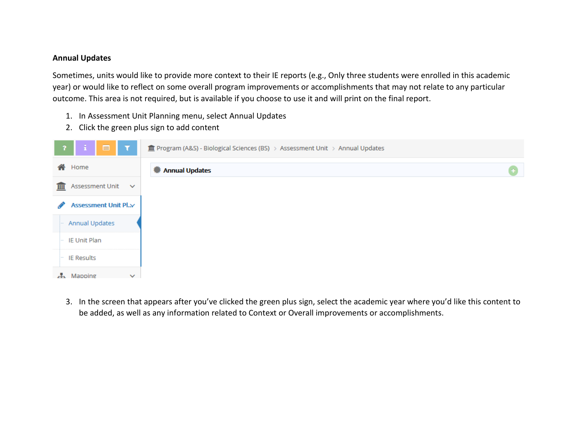#### **Annual Updates**

Sometimes, units would like to provide more context to their IE reports (e.g., Only three students were enrolled in this academic year) or would like to reflect on some overall program improvements or accomplishments that may not relate to any particular outcome. This area is not required, but is available if you choose to use it and will print on the final report.

- 1. In Assessment Unit Planning menu, select Annual Updates
- 2. Click the green plus sign to add content



3. In the screen that appears after you've clicked the green plus sign, select the academic year where you'd like this content to be added, as well as any information related to Context or Overall improvements or accomplishments.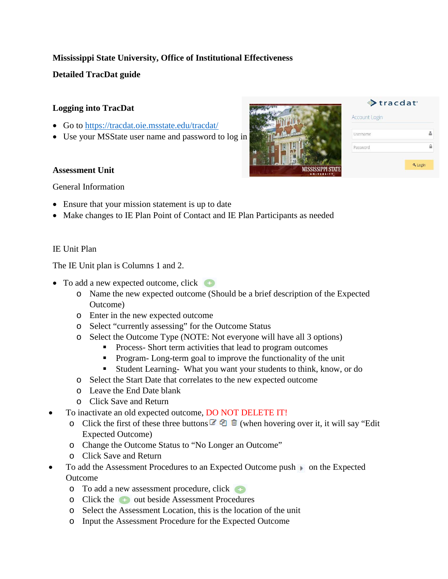## **Mississippi State University, Office of Institutional Effectiveness**

## **Detailed TracDat guide**

## **Logging into TracDat**

- Go to<https://tracdat.oie.msstate.edu/tracdat/>
- Use your MSState user name and password to log in

### **Assessment Unit**



| Account Login |                      |
|---------------|----------------------|
| Username      |                      |
| Password      |                      |
|               | Q <sub>k</sub> Login |

General Information

- Ensure that your mission statement is up to date
- Make changes to IE Plan Point of Contact and IE Plan Participants as needed

## IE Unit Plan

The IE Unit plan is Columns 1 and 2.

- To add a new expected outcome, click
	- o Name the new expected outcome (Should be a brief description of the Expected Outcome)
	- o Enter in the new expected outcome
	- o Select "currently assessing" for the Outcome Status
	- o Select the Outcome Type (NOTE: Not everyone will have all 3 options)
		- **Process- Short term activities that lead to program outcomes**
		- **Program-** Long-term goal to improve the functionality of the unit
		- Student Learning- What you want your students to think, know, or do
	- o Select the Start Date that correlates to the new expected outcome
	- o Leave the End Date blank
	- o Click Save and Return
- To inactivate an old expected outcome, DO NOT DELETE IT!
	- o Click the first of these three buttons  $\leq \oplus \oplus$  (when hovering over it, it will say "Edit") Expected Outcome)
	- o Change the Outcome Status to "No Longer an Outcome"
	- o Click Save and Return
- To add the Assessment Procedures to an Expected Outcome push  $\triangleright$  on the Expected Outcome
	- o To add a new assessment procedure, click
	- $\circ$  Click the  $\bullet$  out beside Assessment Procedures
	- o Select the Assessment Location, this is the location of the unit
	- o Input the Assessment Procedure for the Expected Outcome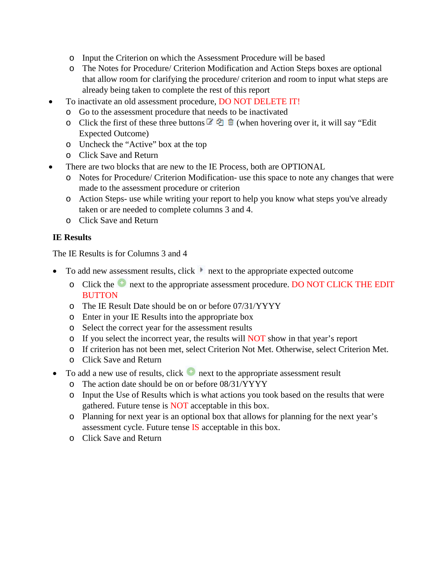- o Input the Criterion on which the Assessment Procedure will be based
- o The Notes for Procedure/ Criterion Modification and Action Steps boxes are optional that allow room for clarifying the procedure/ criterion and room to input what steps are already being taken to complete the rest of this report
- To inactivate an old assessment procedure, DO NOT DELETE IT!
	- o Go to the assessment procedure that needs to be inactivated
	- o Click the first of these three buttons  $\leq$   $\oplus$   $\cong$  (when hovering over it, it will say "Edit") Expected Outcome)
	- o Uncheck the "Active" box at the top
	- o Click Save and Return
- There are two blocks that are new to the IE Process, both are OPTIONAL
	- o Notes for Procedure/ Criterion Modification- use this space to note any changes that were made to the assessment procedure or criterion
	- o Action Steps- use while writing your report to help you know what steps you've already taken or are needed to complete columns 3 and 4.
	- o Click Save and Return

## **IE Results**

The IE Results is for Columns 3 and 4

- To add new assessment results, click next to the appropriate expected outcome
	- o Click the  $\triangle$  next to the appropriate assessment procedure. DO NOT CLICK THE EDIT **BUTTON**
	- o The IE Result Date should be on or before 07/31/YYYY
	- o Enter in your IE Results into the appropriate box
	- o Select the correct year for the assessment results
	- o If you select the incorrect year, the results will NOT show in that year's report
	- o If criterion has not been met, select Criterion Not Met. Otherwise, select Criterion Met.
	- o Click Save and Return
- To add a new use of results, click  $\bullet$  next to the appropriate assessment result
	- o The action date should be on or before 08/31/YYYY
	- o Input the Use of Results which is what actions you took based on the results that were gathered. Future tense is NOT acceptable in this box.
	- o Planning for next year is an optional box that allows for planning for the next year's assessment cycle. Future tense IS acceptable in this box.
	- o Click Save and Return